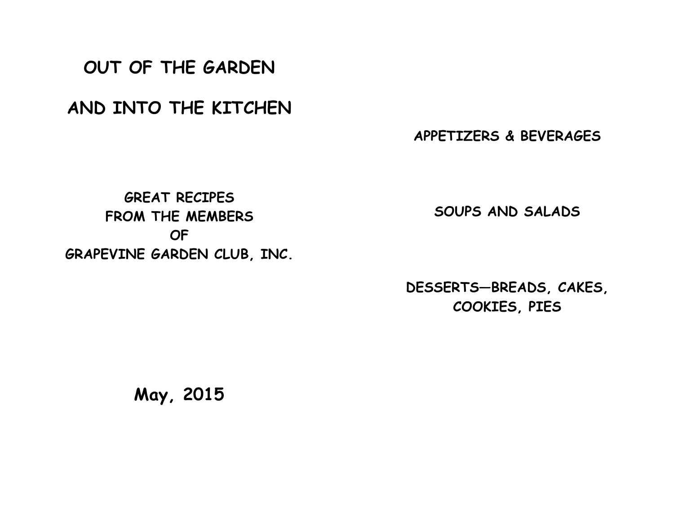**OUT OF THE GARDEN**

**AND INTO THE KITCHEN**

**APPETIZERS & BEVERAGES**

**GREAT RECIPES FROM THE MEMBERS OF GRAPEVINE GARDEN CLUB, INC.**

**SOUPS AND SALADS**

**DESSERTS—BREADS, CAKES, COOKIES, PIES**

**May, 2015**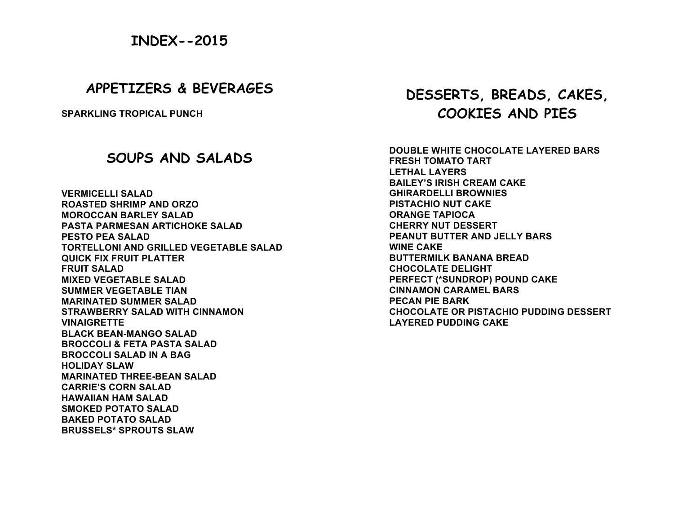# **INDEX--2015**

## **APPETIZERS & BEVERAGES**

**SPARKLING TROPICAL PUNCH**

## **SOUPS AND SALADS**

**VERMICELLI SALAD ROASTED SHRIMP AND ORZO MOROCCAN BARLEY SALAD PASTA PARMESAN ARTICHOKE SALAD PESTO PEA SALAD TORTELLONI AND GRILLED VEGETABLE SALAD QUICK FIX FRUIT PLATTER FRUIT SALAD MIXED VEGETABLE SALAD SUMMER VEGETABLE TIAN MARINATED SUMMER SALAD STRAWBERRY SALAD WITH CINNAMON VINAIGRETTE BLACK BEAN-MANGO SALAD BROCCOLI & FETA PASTA SALAD BROCCOLI SALAD IN A BAG HOLIDAY SLAW MARINATED THREE-BEAN SALAD CARRIE'S CORN SALAD HAWAIIAN HAM SALAD SMOKED POTATO SALAD BAKED POTATO SALAD BRUSSELS\* SPROUTS SLAW**

# **DESSERTS, BREADS, CAKES, COOKIES AND PIES**

**DOUBLE WHITE CHOCOLATE LAYERED BARS FRESH TOMATO TART LETHAL LAYERS BAILEY'S IRISH CREAM CAKE GHIRARDELLI BROWNIES PISTACHIO NUT CAKE ORANGE TAPIOCA CHERRY NUT DESSERT PEANUT BUTTER AND JELLY BARS WINE CAKE BUTTERMILK BANANA BREAD CHOCOLATE DELIGHT PERFECT (\*SUNDROP) POUND CAKE CINNAMON CARAMEL BARS PECAN PIE BARK CHOCOLATE OR PISTACHIO PUDDING DESSERT LAYERED PUDDING CAKE**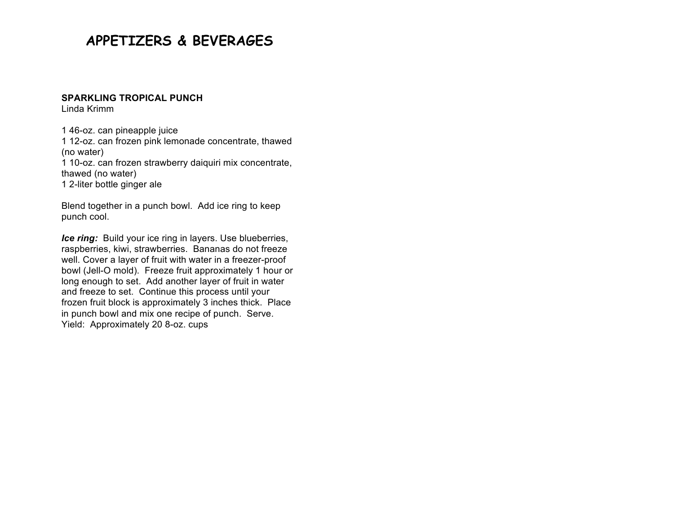# **APPETIZERS & BEVERAGES**

### **SPARKLING TROPICAL PUNCH**

Linda Krimm

1 46-oz. can pineapple juice

1 12-oz. can frozen pink lemonade concentrate, thawed (no water)

1 10-oz. can frozen strawberry daiquiri mix concentrate, thawed (no water)

1 2-liter bottle ginger ale

Blend together in a punch bowl. Add ice ring to keep punch cool.

*Ice ring:* Build your ice ring in layers. Use blueberries, raspberries, kiwi, strawberries. Bananas do not freeze well. Cover a layer of fruit with water in a freezer-proof bowl (Jell-O mold). Freeze fruit approximately 1 hour or long enough to set. Add another layer of fruit in water and freeze to set. Continue this process until your frozen fruit block is approximately 3 inches thick. Place in punch bowl and mix one recipe of punch. Serve. Yield: Approximately 20 8-oz. cups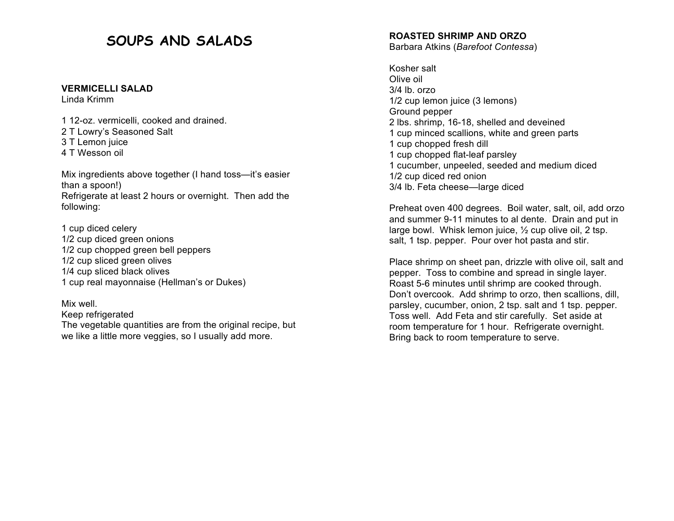# **SOUPS AND SALADS**

#### **VERMICELLI SALAD**

Linda Krimm

1 12-oz. vermicelli, cooked and drained. 2 T Lowry's Seasoned Salt 3 T Lemon juice 4 T Wesson oil

Mix ingredients above together (I hand toss—it's easier than a spoon!) Refrigerate at least 2 hours or overnight. Then add the following:

1 cup diced celery 1/2 cup diced green onions 1/2 cup chopped green bell peppers 1/2 cup sliced green olives 1/4 cup sliced black olives 1 cup real mayonnaise (Hellman's or Dukes)

Mix well. Keep refrigerated The vegetable quantities are from the original recipe, but we like a little more veggies, so I usually add more.

### **ROASTED SHRIMP AND ORZO**

Barbara Atkins (*Barefoot Contessa*)

Kosher salt Olive oil 3/4 lb. orzo 1/2 cup lemon juice (3 lemons) Ground pepper 2 lbs. shrimp, 16-18, shelled and deveined 1 cup minced scallions, white and green parts 1 cup chopped fresh dill 1 cup chopped flat-leaf parsley 1 cucumber, unpeeled, seeded and medium diced 1/2 cup diced red onion 3/4 lb. Feta cheese—large diced

Preheat oven 400 degrees. Boil water, salt, oil, add orzo and summer 9-11 minutes to al dente. Drain and put in large bowl. Whisk lemon juice, ½ cup olive oil, 2 tsp. salt, 1 tsp. pepper. Pour over hot pasta and stir.

Place shrimp on sheet pan, drizzle with olive oil, salt and pepper. Toss to combine and spread in single layer. Roast 5-6 minutes until shrimp are cooked through. Don't overcook. Add shrimp to orzo, then scallions, dill, parsley, cucumber, onion, 2 tsp. salt and 1 tsp. pepper. Toss well. Add Feta and stir carefully. Set aside at room temperature for 1 hour. Refrigerate overnight. Bring back to room temperature to serve.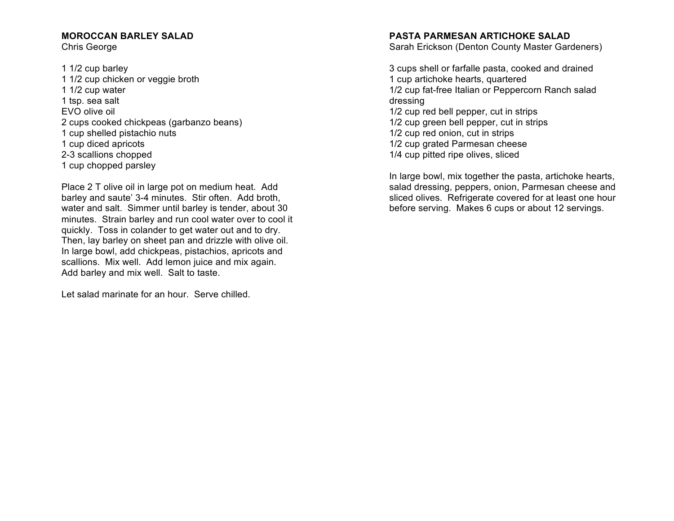## **MOROCCAN BARLEY SALAD**

Chris George

1 1/2 cup barley 1 1/2 cup chicken or veggie broth 1 1/2 cup water 1 tsp. sea salt EVO olive oil 2 cups cooked chickpeas (garbanzo beans) 1 cup shelled pistachio nuts 1 cup diced apricots 2-3 scallions chopped 1 cup chopped parsley

Place 2 T olive oil in large pot on medium heat. Add barley and saute' 3-4 minutes. Stir often. Add broth, water and salt. Simmer until barley is tender, about 30 minutes. Strain barley and run cool water over to cool it quickly. Toss in colander to get water out and to dry. Then, lay barley on sheet pan and drizzle with olive oil. In large bowl, add chickpeas, pistachios, apricots and scallions. Mix well. Add lemon juice and mix again. Add barley and mix well. Salt to taste.

Let salad marinate for an hour. Serve chilled.

### **PASTA PARMESAN ARTICHOKE SALAD**

Sarah Erickson (Denton County Master Gardeners)

3 cups shell or farfalle pasta, cooked and drained 1 cup artichoke hearts, quartered 1/2 cup fat-free Italian or Peppercorn Ranch salad dressing 1/2 cup red bell pepper, cut in strips 1/2 cup green bell pepper, cut in strips 1/2 cup red onion, cut in strips 1/2 cup grated Parmesan cheese

1/4 cup pitted ripe olives, sliced

In large bowl, mix together the pasta, artichoke hearts, salad dressing, peppers, onion, Parmesan cheese and sliced olives. Refrigerate covered for at least one hour before serving. Makes 6 cups or about 12 servings.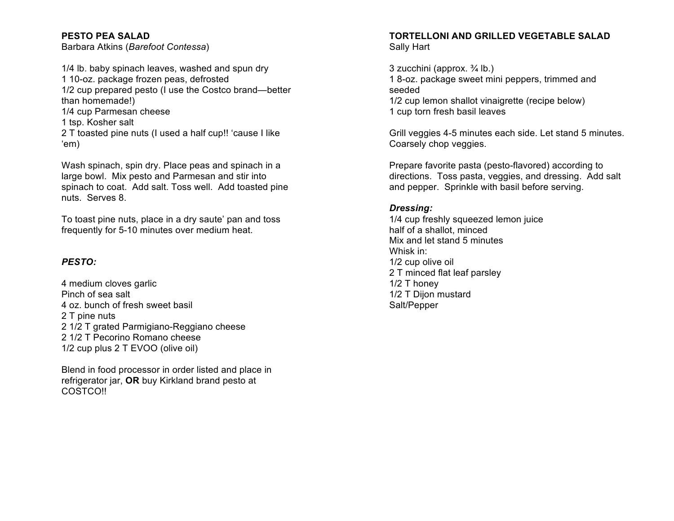## **PESTO PEA SALAD**

Barbara Atkins (*Barefoot Contessa*)

1/4 lb. baby spinach leaves, washed and spun dry 1 10-oz. package frozen peas, defrosted 1/2 cup prepared pesto (I use the Costco brand—better than homemade!) 1/4 cup Parmesan cheese

1 tsp. Kosher salt

2 T toasted pine nuts (I used a half cup!! 'cause I like 'em)

Wash spinach, spin dry. Place peas and spinach in a large bowl. Mix pesto and Parmesan and stir into spinach to coat. Add salt. Toss well. Add toasted pine nuts. Serves 8.

To toast pine nuts, place in a dry saute' pan and toss frequently for 5-10 minutes over medium heat.

## *PESTO:*

4 medium cloves garlic Pinch of sea salt 4 oz. bunch of fresh sweet basil 2 T pine nuts 2 1/2 T grated Parmigiano-Reggiano cheese 2 1/2 T Pecorino Romano cheese 1/2 cup plus 2 T EVOO (olive oil)

Blend in food processor in order listed and place in refrigerator jar, **OR** buy Kirkland brand pesto at COSTCO!!

## **TORTELLONI AND GRILLED VEGETABLE SALAD** Sally Hart

3 zucchini (approx. ¾ lb.) 1 8-oz. package sweet mini peppers, trimmed and seeded 1/2 cup lemon shallot vinaigrette (recipe below) 1 cup torn fresh basil leaves

Grill veggies 4-5 minutes each side. Let stand 5 minutes. Coarsely chop veggies.

Prepare favorite pasta (pesto-flavored) according to directions. Toss pasta, veggies, and dressing. Add salt and pepper. Sprinkle with basil before serving.

## *Dressing:*

1/4 cup freshly squeezed lemon juice half of a shallot, minced Mix and let stand 5 minutes Whisk in: 1/2 cup olive oil 2 T minced flat leaf parsley 1/2 T honey 1/2 T Dijon mustard Salt/Pepper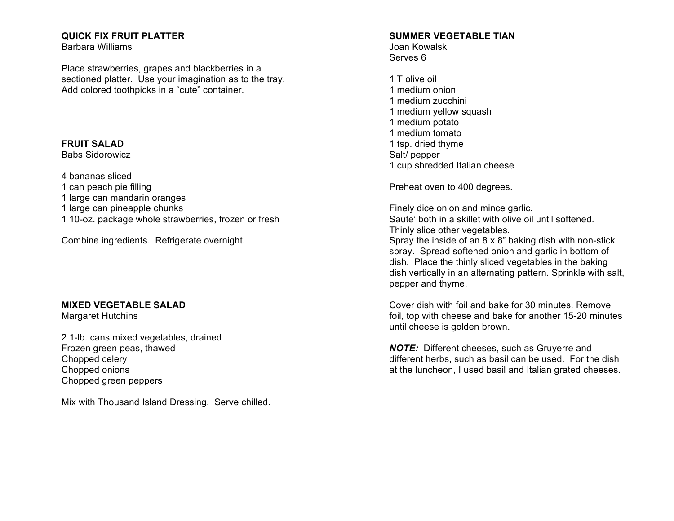## **QUICK FIX FRUIT PLATTER**

Barbara Williams

Place strawberries, grapes and blackberries in a sectioned platter. Use your imagination as to the tray. Add colored toothpicks in a "cute" container.

## **FRUIT SALAD**

Babs Sidorowicz

4 bananas sliced

- 1 can peach pie filling
- 1 large can mandarin oranges
- 1 large can pineapple chunks
- 1 10-oz. package whole strawberries, frozen or fresh

Combine ingredients. Refrigerate overnight.

## **MIXED VEGETABLE SALAD**

Margaret Hutchins

2 1-lb. cans mixed vegetables, drained Frozen green peas, thawed Chopped celery Chopped onions Chopped green peppers

Mix with Thousand Island Dressing. Serve chilled.

## **SUMMER VEGETABLE TIAN**

Joan Kowalski Serves 6

1 T olive oil 1 medium onion 1 medium zucchini 1 medium yellow squash 1 medium potato 1 medium tomato 1 tsp. dried thyme Salt/ pepper 1 cup shredded Italian cheese

Preheat oven to 400 degrees.

pepper and thyme.

Finely dice onion and mince garlic. Saute' both in a skillet with olive oil until softened. Thinly slice other vegetables. Spray the inside of an 8 x 8" baking dish with non-stick spray. Spread softened onion and garlic in bottom of dish. Place the thinly sliced vegetables in the baking dish vertically in an alternating pattern. Sprinkle with salt,

Cover dish with foil and bake for 30 minutes. Remove foil, top with cheese and bake for another 15-20 minutes until cheese is golden brown.

*NOTE:* Different cheeses, such as Gruyerre and different herbs, such as basil can be used. For the dish at the luncheon, I used basil and Italian grated cheeses.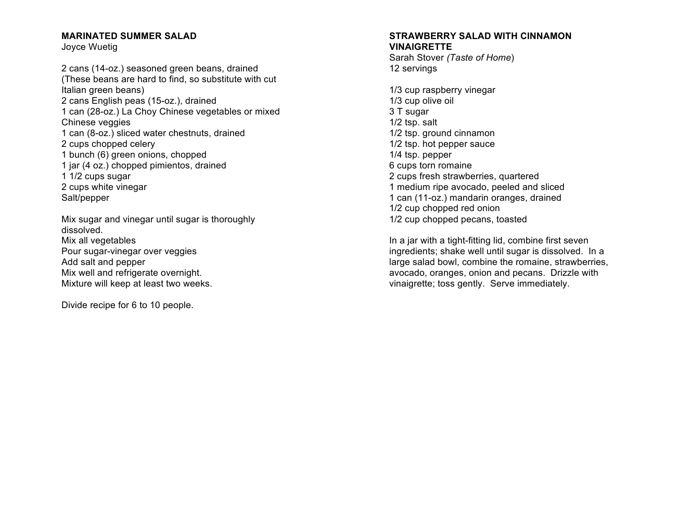## **MARINATED SUMMER SALAD**

Joyce Wuetig

2 cans (14-oz.) seasoned green beans, drained (These beans are hard to find, so substitute with cut Italian green beans) 2 cans English peas (15-oz.), drained 1 can (28-oz.) La Choy Chinese vegetables or mixed Chinese veggies 1 can (8-oz.) sliced water chestnuts, drained 2 cups chopped celery 1 bunch (6) green onions, chopped 1 jar (4 oz.) chopped pimientos, drained 1 1/2 cups sugar 2 cups white vinegar Salt/pepper

Mix sugar and vinegar until sugar is thoroughly dissolved. Mix all vegetables Pour sugar-vinegar over veggies Add salt and pepper Mix well and refrigerate overnight. Mixture will keep at least two weeks.

Divide recipe for 6 to 10 people.

#### **STRAWBERRY SALAD WITH CINNAMON VINAIGRETTE**

Sarah Stover *(Taste of Home*) 12 servings

1/3 cup raspberry vinegar 1/3 cup olive oil 3 T sugar 1/2 tsp. salt 1/2 tsp. ground cinnamon 1/2 tsp. hot pepper sauce 1/4 tsp. pepper 6 cups torn romaine 2 cups fresh strawberries, quartered 1 medium ripe avocado, peeled and sliced 1 can (11-oz.) mandarin oranges, drained 1/2 cup chopped red onion 1/2 cup chopped pecans, toasted

In a jar with a tight-fitting lid, combine first seven ingredients; shake well until sugar is dissolved. In a large salad bowl, combine the romaine, strawberries, avocado, oranges, onion and pecans. Drizzle with vinaigrette; toss gently. Serve immediately.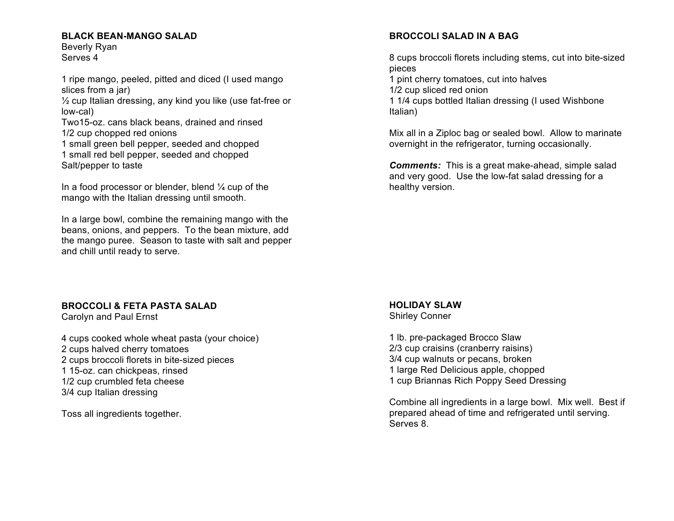## **BLACK BEAN-MANGO SALAD**

Beverly Ryan Serves 4

1 ripe mango, peeled, pitted and diced (I used mango slices from a jar)

 $\frac{1}{2}$  cup Italian dressing, any kind you like (use fat-free or low-cal)

Two15-oz. cans black beans, drained and rinsed 1/2 cup chopped red onions

1 small green bell pepper, seeded and chopped 1 small red bell pepper, seeded and chopped Salt/pepper to taste

In a food processor or blender, blend  $\frac{1}{4}$  cup of the mango with the Italian dressing until smooth.

In a large bowl, combine the remaining mango with the beans, onions, and peppers. To the bean mixture, add the mango puree. Season to taste with salt and pepper and chill until ready to serve.

## **BROCCOLI & FETA PASTA SALAD**

Carolyn and Paul Ernst

4 cups cooked whole wheat pasta (your choice) 2 cups halved cherry tomatoes 2 cups broccoli florets in bite-sized pieces 1 15-oz. can chickpeas, rinsed 1/2 cup crumbled feta cheese 3/4 cup Italian dressing

Toss all ingredients together.

## **BROCCOLI SALAD IN A BAG**

8 cups broccoli florets including stems, cut into bite-sized pieces

1 pint cherry tomatoes, cut into halves

1/2 cup sliced red onion

1 1/4 cups bottled Italian dressing (I used Wishbone Italian)

Mix all in a Ziploc bag or sealed bowl. Allow to marinate overnight in the refrigerator, turning occasionally.

*Comments:* This is a great make-ahead, simple salad and very good. Use the low-fat salad dressing for a healthy version.

## **HOLIDAY SLAW**

Shirley Conner

1 lb. pre-packaged Brocco Slaw 2/3 cup craisins (cranberry raisins) 3/4 cup walnuts or pecans, broken 1 large Red Delicious apple, chopped 1 cup Briannas Rich Poppy Seed Dressing

Combine all ingredients in a large bowl. Mix well. Best if prepared ahead of time and refrigerated until serving. Serves 8.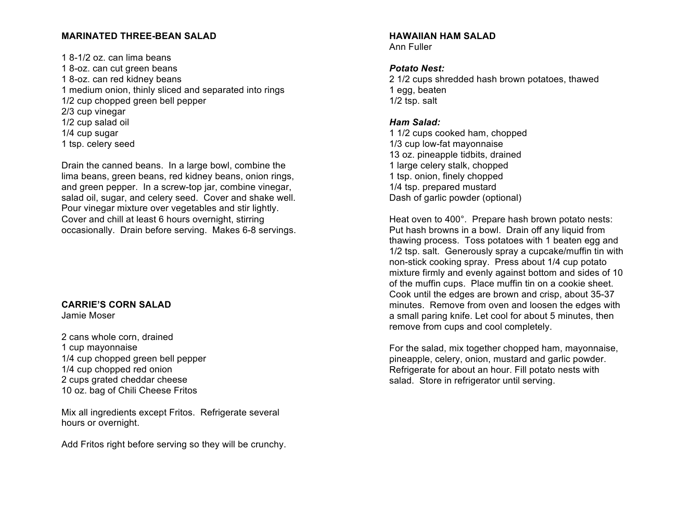## **MARINATED THREE-BEAN SALAD**

1 8-1/2 oz. can lima beans 1 8-oz. can cut green beans 1 8-oz. can red kidney beans 1 medium onion, thinly sliced and separated into rings 1/2 cup chopped green bell pepper 2/3 cup vinegar 1/2 cup salad oil 1/4 cup sugar 1 tsp. celery seed

Drain the canned beans. In a large bowl, combine the lima beans, green beans, red kidney beans, onion rings, and green pepper. In a screw-top jar, combine vinegar, salad oil, sugar, and celery seed. Cover and shake well. Pour vinegar mixture over vegetables and stir lightly. Cover and chill at least 6 hours overnight, stirring occasionally. Drain before serving. Makes 6-8 servings.

## **CARRIE'S CORN SALAD**

Jamie Moser

2 cans whole corn, drained 1 cup mayonnaise 1/4 cup chopped green bell pepper 1/4 cup chopped red onion 2 cups grated cheddar cheese 10 oz. bag of Chili Cheese Fritos

Mix all ingredients except Fritos. Refrigerate several hours or overnight.

Add Fritos right before serving so they will be crunchy.

#### **HAWAIIAN HAM SALAD** Ann Fuller

#### *Potato Nest:*

2 1/2 cups shredded hash brown potatoes, thawed 1 egg, beaten 1/2 tsp. salt

## *Ham Salad:*

1 1/2 cups cooked ham, chopped 1/3 cup low-fat mayonnaise 13 oz. pineapple tidbits, drained 1 large celery stalk, chopped 1 tsp. onion, finely chopped 1/4 tsp. prepared mustard Dash of garlic powder (optional)

Heat oven to 400°. Prepare hash brown potato nests: Put hash browns in a bowl. Drain off any liquid from thawing process. Toss potatoes with 1 beaten egg and 1/2 tsp. salt. Generously spray a cupcake/muffin tin with non-stick cooking spray. Press about 1/4 cup potato mixture firmly and evenly against bottom and sides of 10 of the muffin cups. Place muffin tin on a cookie sheet. Cook until the edges are brown and crisp, about 35-37 minutes. Remove from oven and loosen the edges with a small paring knife. Let cool for about 5 minutes, then remove from cups and cool completely.

For the salad, mix together chopped ham, mayonnaise, pineapple, celery, onion, mustard and garlic powder. Refrigerate for about an hour. Fill potato nests with salad. Store in refrigerator until serving.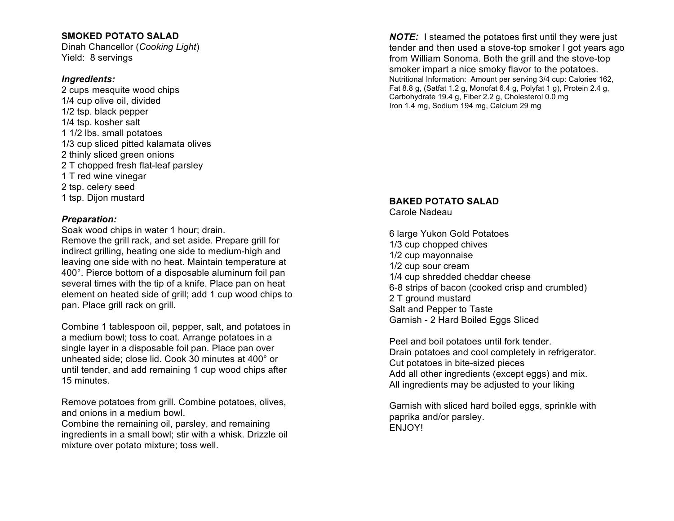## **SMOKED POTATO SALAD**

Dinah Chancellor (*Cooking Light*) Yield: 8 servings

#### *Ingredients:*

2 cups mesquite wood chips 1/4 cup olive oil, divided 1/2 tsp. black pepper 1/4 tsp. kosher salt 1 1/2 lbs. small potatoes 1/3 cup sliced pitted kalamata olives 2 thinly sliced green onions 2 T chopped fresh flat-leaf parsley 1 T red wine vinegar 2 tsp. celery seed 1 tsp. Dijon mustard

### *Preparation:*

Soak wood chips in water 1 hour; drain. Remove the grill rack, and set aside. Prepare grill for indirect grilling, heating one side to medium-high and leaving one side with no heat. Maintain temperature at 400°. Pierce bottom of a disposable aluminum foil pan several times with the tip of a knife. Place pan on heat element on heated side of grill; add 1 cup wood chips to pan. Place grill rack on grill.

Combine 1 tablespoon oil, pepper, salt, and potatoes in a medium bowl; toss to coat. Arrange potatoes in a single layer in a disposable foil pan. Place pan over unheated side; close lid. Cook 30 minutes at 400° or until tender, and add remaining 1 cup wood chips after 15 minutes.

Remove potatoes from grill. Combine potatoes, olives, and onions in a medium bowl.

Combine the remaining oil, parsley, and remaining ingredients in a small bowl; stir with a whisk. Drizzle oil mixture over potato mixture; toss well.

*NOTE:* I steamed the potatoes first until they were just tender and then used a stove-top smoker I got years ago from William Sonoma. Both the grill and the stove-top smoker impart a nice smoky flavor to the potatoes. Nutritional Information: Amount per serving 3/4 cup: Calories 162, Fat 8.8 g, (Satfat 1.2 g, Monofat 6.4 g, Polyfat 1 g), Protein 2.4 g, Carbohydrate 19.4 g, Fiber 2.2 g, Cholesterol 0.0 mg Iron 1.4 mg, Sodium 194 mg, Calcium 29 mg

#### **BAKED POTATO SALAD** Carole Nadeau

6 large Yukon Gold Potatoes 1/3 cup chopped chives 1/2 cup mayonnaise 1/2 cup sour cream 1/4 cup shredded cheddar cheese 6-8 strips of bacon (cooked crisp and crumbled) 2 T ground mustard Salt and Pepper to Taste Garnish - 2 Hard Boiled Eggs Sliced

Peel and boil potatoes until fork tender. Drain potatoes and cool completely in refrigerator. Cut potatoes in bite-sized pieces Add all other ingredients (except eggs) and mix. All ingredients may be adjusted to your liking

Garnish with sliced hard boiled eggs, sprinkle with paprika and/or parsley. ENJOY!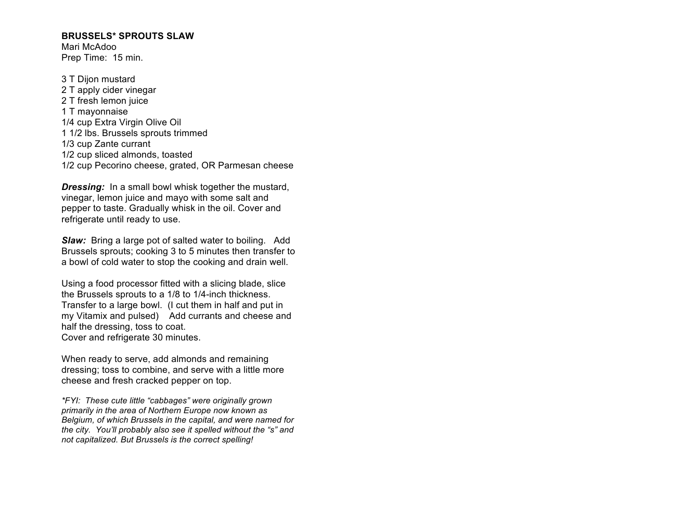#### **BRUSSELS\* SPROUTS SLAW**

Mari McAdoo Prep Time: 15 min.

3 T Dijon mustard 2 T apply cider vinegar 2 T fresh lemon juice 1 T mayonnaise 1/4 cup Extra Virgin Olive Oil 1 1/2 lbs. Brussels sprouts trimmed 1/3 cup Zante currant 1/2 cup sliced almonds, toasted 1/2 cup Pecorino cheese, grated, OR Parmesan cheese

*Dressing:* In a small bowl whisk together the mustard, vinegar, lemon juice and mayo with some salt and pepper to taste. Gradually whisk in the oil. Cover and refrigerate until ready to use.

*Slaw:* Bring a large pot of salted water to boiling. Add Brussels sprouts; cooking 3 to 5 minutes then transfer to a bowl of cold water to stop the cooking and drain well.

Using a food processor fitted with a slicing blade, slice the Brussels sprouts to a 1/8 to 1/4-inch thickness. Transfer to a large bowl. (I cut them in half and put in my Vitamix and pulsed) Add currants and cheese and half the dressing, toss to coat. Cover and refrigerate 30 minutes.

When ready to serve, add almonds and remaining dressing; toss to combine, and serve with a little more cheese and fresh cracked pepper on top.

*\*FYI: These cute little "cabbages" were originally grown primarily in the area of Northern Europe now known as Belgium, of which Brussels in the capital, and were named for the city. You'll probably also see it spelled without the "s" and not capitalized. But Brussels is the correct spelling!*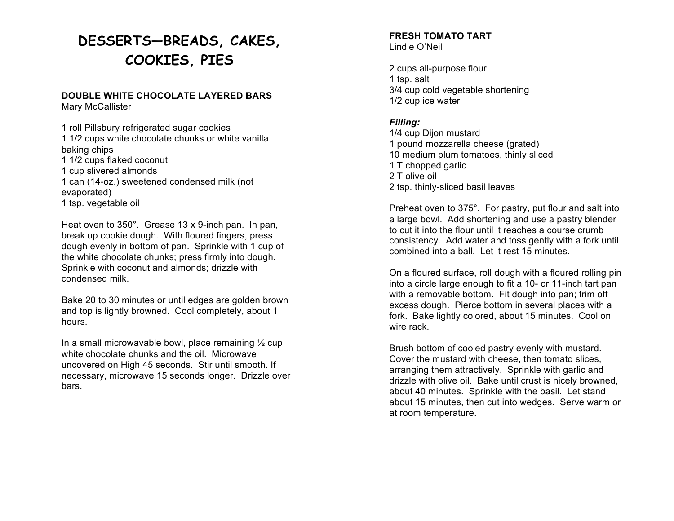# **DESSERTS—BREADS, CAKES, COOKIES, PIES**

#### **DOUBLE WHITE CHOCOLATE LAYERED BARS** Mary McCallister

1 roll Pillsbury refrigerated sugar cookies 1 1/2 cups white chocolate chunks or white vanilla baking chips 1 1/2 cups flaked coconut 1 cup slivered almonds 1 can (14-oz.) sweetened condensed milk (not evaporated) 1 tsp. vegetable oil

Heat oven to 350°. Grease 13 x 9-inch pan. In pan, break up cookie dough. With floured fingers, press dough evenly in bottom of pan. Sprinkle with 1 cup of the white chocolate chunks; press firmly into dough. Sprinkle with coconut and almonds; drizzle with condensed milk.

Bake 20 to 30 minutes or until edges are golden brown and top is lightly browned. Cool completely, about 1 hours.

In a small microwavable bowl, place remaining  $\frac{1}{2}$  cup white chocolate chunks and the oil. Microwave uncovered on High 45 seconds. Stir until smooth. If necessary, microwave 15 seconds longer. Drizzle over bars.

# **FRESH TOMATO TART**

Lindle O'Neil

2 cups all-purpose flour 1 tsp. salt 3/4 cup cold vegetable shortening 1/2 cup ice water

## *Filling:*

1/4 cup Dijon mustard 1 pound mozzarella cheese (grated) 10 medium plum tomatoes, thinly sliced 1 T chopped garlic 2 T olive oil 2 tsp. thinly-sliced basil leaves

Preheat oven to 375°. For pastry, put flour and salt into a large bowl. Add shortening and use a pastry blender to cut it into the flour until it reaches a course crumb consistency. Add water and toss gently with a fork until combined into a ball. Let it rest 15 minutes.

On a floured surface, roll dough with a floured rolling pin into a circle large enough to fit a 10- or 11-inch tart pan with a removable bottom. Fit dough into pan; trim off excess dough. Pierce bottom in several places with a fork. Bake lightly colored, about 15 minutes. Cool on wire rack.

Brush bottom of cooled pastry evenly with mustard. Cover the mustard with cheese, then tomato slices, arranging them attractively. Sprinkle with garlic and drizzle with olive oil. Bake until crust is nicely browned, about 40 minutes. Sprinkle with the basil. Let stand about 15 minutes, then cut into wedges. Serve warm or at room temperature.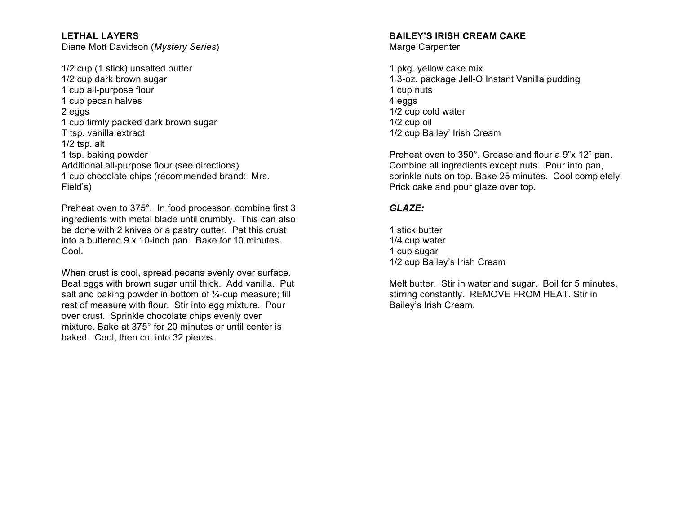**LETHAL LAYERS** Diane Mott Davidson (*Mystery Series*)

1/2 cup (1 stick) unsalted butter 1/2 cup dark brown sugar 1 cup all-purpose flour 1 cup pecan halves 2 eggs 1 cup firmly packed dark brown sugar T tsp. vanilla extract 1/2 tsp. alt 1 tsp. baking powder Additional all-purpose flour (see directions) 1 cup chocolate chips (recommended brand: Mrs. Field's)

Preheat oven to 375°. In food processor, combine first 3 ingredients with metal blade until crumbly. This can also be done with 2 knives or a pastry cutter. Pat this crust into a buttered 9 x 10-inch pan. Bake for 10 minutes. Cool.

When crust is cool, spread pecans evenly over surface. Beat eggs with brown sugar until thick. Add vanilla. Put salt and baking powder in bottom of 1/4-cup measure; fill rest of measure with flour. Stir into egg mixture. Pour over crust. Sprinkle chocolate chips evenly over mixture. Bake at 375° for 20 minutes or until center is baked. Cool, then cut into 32 pieces.

### **BAILEY'S IRISH CREAM CAKE**

Marge Carpenter

1 pkg. yellow cake mix 1 3-oz. package Jell-O Instant Vanilla pudding 1 cup nuts 4 eggs 1/2 cup cold water 1/2 cup oil 1/2 cup Bailey' Irish Cream

Preheat oven to 350°. Grease and flour a 9"x 12" pan. Combine all ingredients except nuts. Pour into pan, sprinkle nuts on top. Bake 25 minutes. Cool completely. Prick cake and pour glaze over top.

### *GLAZE:*

1 stick butter 1/4 cup water 1 cup sugar 1/2 cup Bailey's Irish Cream

Melt butter. Stir in water and sugar. Boil for 5 minutes, stirring constantly. REMOVE FROM HEAT. Stir in Bailey's Irish Cream.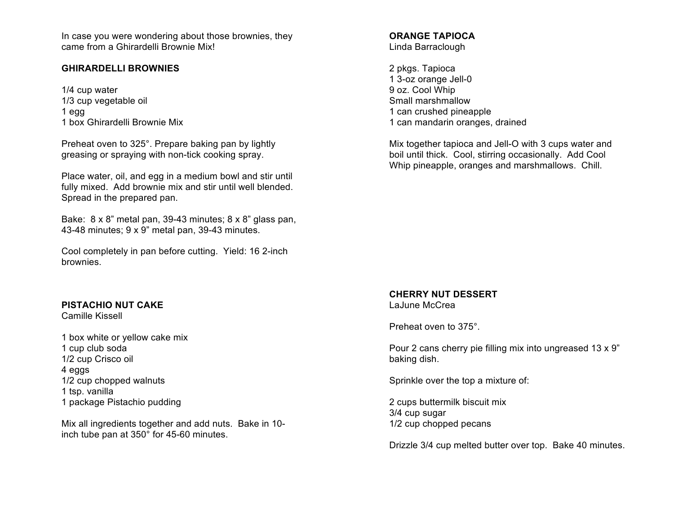In case you were wondering about those brownies, they came from a Ghirardelli Brownie Mix!

## **GHIRARDELLI BROWNIES**

1/4 cup water 1/3 cup vegetable oil 1 egg 1 box Ghirardelli Brownie Mix

Preheat oven to 325°. Prepare baking pan by lightly greasing or spraying with non-tick cooking spray.

Place water, oil, and egg in a medium bowl and stir until fully mixed. Add brownie mix and stir until well blended. Spread in the prepared pan.

Bake: 8 x 8" metal pan, 39-43 minutes; 8 x 8" glass pan, 43-48 minutes; 9 x 9" metal pan, 39-43 minutes.

Cool completely in pan before cutting. Yield: 16 2-inch brownies.

## **PISTACHIO NUT CAKE**

Camille Kissell

1 box white or yellow cake mix 1 cup club soda 1/2 cup Crisco oil 4 eggs 1/2 cup chopped walnuts 1 tsp. vanilla 1 package Pistachio pudding

Mix all ingredients together and add nuts. Bake in 10 inch tube pan at 350° for 45-60 minutes.

#### **ORANGE TAPIOCA** Linda Barraclough

2 pkgs. Tapioca 1 3-oz orange Jell-0 9 oz. Cool Whip Small marshmallow 1 can crushed pineapple 1 can mandarin oranges, drained

Mix together tapioca and Jell-O with 3 cups water and boil until thick. Cool, stirring occasionally. Add Cool Whip pineapple, oranges and marshmallows. Chill.

#### **CHERRY NUT DESSERT** LaJune McCrea

Preheat oven to 375°.

Pour 2 cans cherry pie filling mix into ungreased 13 x 9" baking dish.

Sprinkle over the top a mixture of:

2 cups buttermilk biscuit mix 3/4 cup sugar 1/2 cup chopped pecans

Drizzle 3/4 cup melted butter over top. Bake 40 minutes.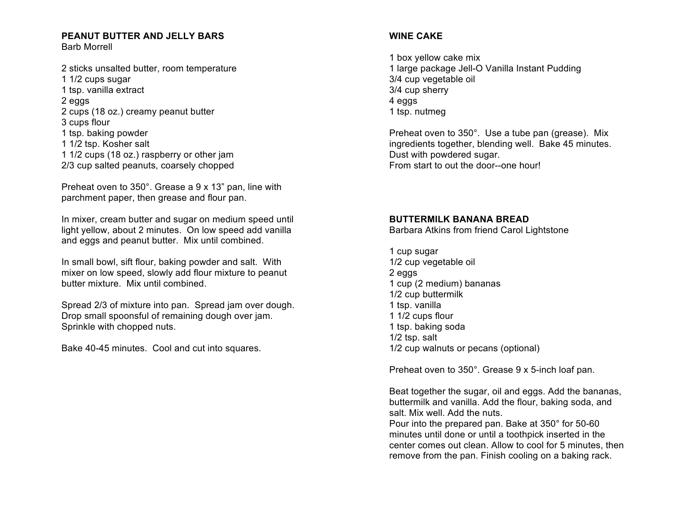#### **PEANUT BUTTER AND JELLY BARS** Barb Morrell

2 sticks unsalted butter, room temperature 1 1/2 cups sugar 1 tsp. vanilla extract 2 eggs 2 cups (18 oz.) creamy peanut butter 3 cups flour 1 tsp. baking powder 1 1/2 tsp. Kosher salt 1 1/2 cups (18 oz.) raspberry or other jam 2/3 cup salted peanuts, coarsely chopped

Preheat oven to 350°. Grease a 9 x 13" pan, line with parchment paper, then grease and flour pan.

In mixer, cream butter and sugar on medium speed until light yellow, about 2 minutes. On low speed add vanilla and eggs and peanut butter. Mix until combined.

In small bowl, sift flour, baking powder and salt. With mixer on low speed, slowly add flour mixture to peanut butter mixture. Mix until combined.

Spread 2/3 of mixture into pan. Spread jam over dough. Drop small spoonsful of remaining dough over jam. Sprinkle with chopped nuts.

Bake 40-45 minutes. Cool and cut into squares.

## **WINE CAKE**

1 box yellow cake mix 1 large package Jell-O Vanilla Instant Pudding 3/4 cup vegetable oil 3/4 cup sherry 4 eggs 1 tsp. nutmeg

Preheat oven to 350°. Use a tube pan (grease). Mix ingredients together, blending well. Bake 45 minutes. Dust with powdered sugar. From start to out the door--one hour!

## **BUTTERMILK BANANA BREAD**

Barbara Atkins from friend Carol Lightstone

1 cup sugar 1/2 cup vegetable oil 2 eggs 1 cup (2 medium) bananas 1/2 cup buttermilk 1 tsp. vanilla 1 1/2 cups flour 1 tsp. baking soda 1/2 tsp. salt 1/2 cup walnuts or pecans (optional)

Preheat oven to 350°. Grease 9 x 5-inch loaf pan.

Beat together the sugar, oil and eggs. Add the bananas, buttermilk and vanilla. Add the flour, baking soda, and salt. Mix well. Add the nuts. Pour into the prepared pan. Bake at 350° for 50-60 minutes until done or until a toothpick inserted in the center comes out clean. Allow to cool for 5 minutes, then

remove from the pan. Finish cooling on a baking rack.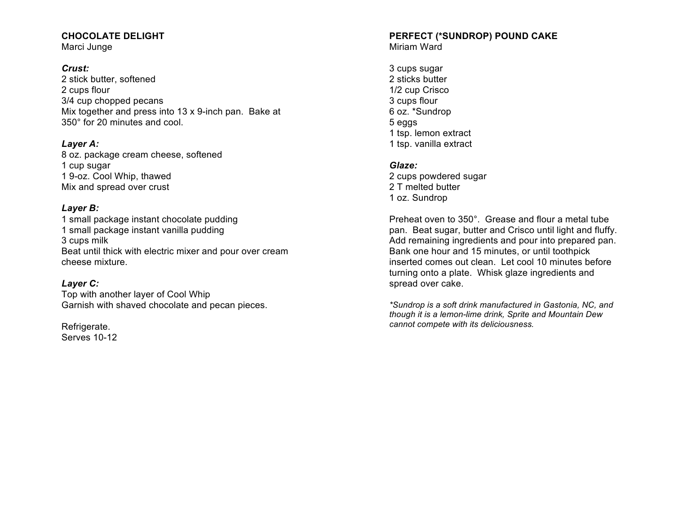## **CHOCOLATE DELIGHT**

Marci Junge

## *Crust:*

2 stick butter, softened 2 cups flour 3/4 cup chopped pecans Mix together and press into 13 x 9-inch pan. Bake at 350° for 20 minutes and cool.

## *Layer A:*

8 oz. package cream cheese, softened 1 cup sugar 1 9-oz. Cool Whip, thawed Mix and spread over crust

## *Layer B:*

1 small package instant chocolate pudding 1 small package instant vanilla pudding 3 cups milk Beat until thick with electric mixer and pour over cream cheese mixture.

## *Layer C:*

Top with another layer of Cool Whip Garnish with shaved chocolate and pecan pieces.

Refrigerate. Serves 10-12

# **PERFECT (\*SUNDROP) POUND CAKE**

Miriam Ward

3 cups sugar 2 sticks butter 1/2 cup Crisco 3 cups flour 6 oz. \*Sundrop 5 eggs 1 tsp. lemon extract 1 tsp. vanilla extract

## *Glaze:*

2 cups powdered sugar 2 T melted butter 1 oz. Sundrop

Preheat oven to 350°. Grease and flour a metal tube pan. Beat sugar, butter and Crisco until light and fluffy. Add remaining ingredients and pour into prepared pan. Bank one hour and 15 minutes, or until toothpick inserted comes out clean. Let cool 10 minutes before turning onto a plate. Whisk glaze ingredients and spread over cake.

*\*Sundrop is a soft drink manufactured in Gastonia, NC, and though it is a lemon-lime drink, Sprite and Mountain Dew cannot compete with its deliciousness.*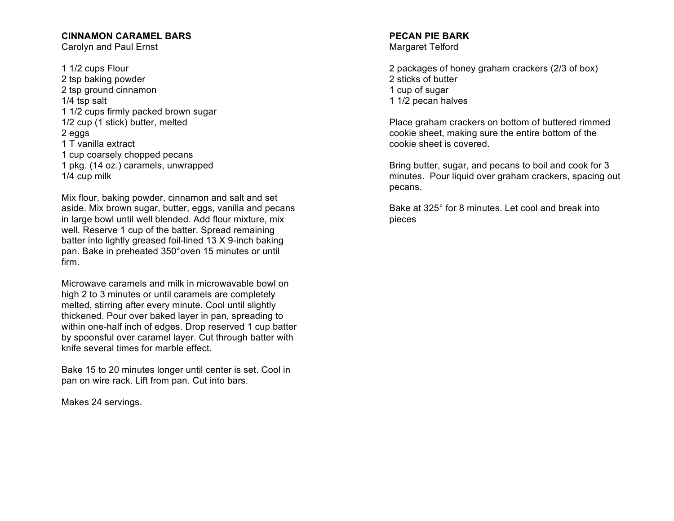## **CINNAMON CARAMEL BARS**

Carolyn and Paul Ernst

1 1/2 cups Flour 2 tsp baking powder 2 tsp ground cinnamon 1/4 tsp salt 1 1/2 cups firmly packed brown sugar 1/2 cup (1 stick) butter, melted 2 eggs 1 T vanilla extract 1 cup coarsely chopped pecans 1 pkg. (14 oz.) caramels, unwrapped 1/4 cup milk

Mix flour, baking powder, cinnamon and salt and set aside. Mix brown sugar, butter, eggs, vanilla and pecans in large bowl until well blended. Add flour mixture, mix well. Reserve 1 cup of the batter. Spread remaining batter into lightly greased foil-lined 13 X 9-inch baking pan. Bake in preheated 350°oven 15 minutes or until firm.

Microwave caramels and milk in microwavable bowl on high 2 to 3 minutes or until caramels are completely melted, stirring after every minute. Cool until slightly thickened. Pour over baked layer in pan, spreading to within one-half inch of edges. Drop reserved 1 cup batter by spoonsful over caramel layer. Cut through batter with knife several times for marble effect.

Bake 15 to 20 minutes longer until center is set. Cool in pan on wire rack. Lift from pan. Cut into bars.

Makes 24 servings.

#### **PECAN PIE BARK** Margaret Telford

2 packages of honey graham crackers (2/3 of box) 2 sticks of butter 1 cup of sugar 1 1/2 pecan halves

Place graham crackers on bottom of buttered rimmed cookie sheet, making sure the entire bottom of the cookie sheet is covered.

Bring butter, sugar, and pecans to boil and cook for 3 minutes. Pour liquid over graham crackers, spacing out pecans.

Bake at 325° for 8 minutes. Let cool and break into pieces